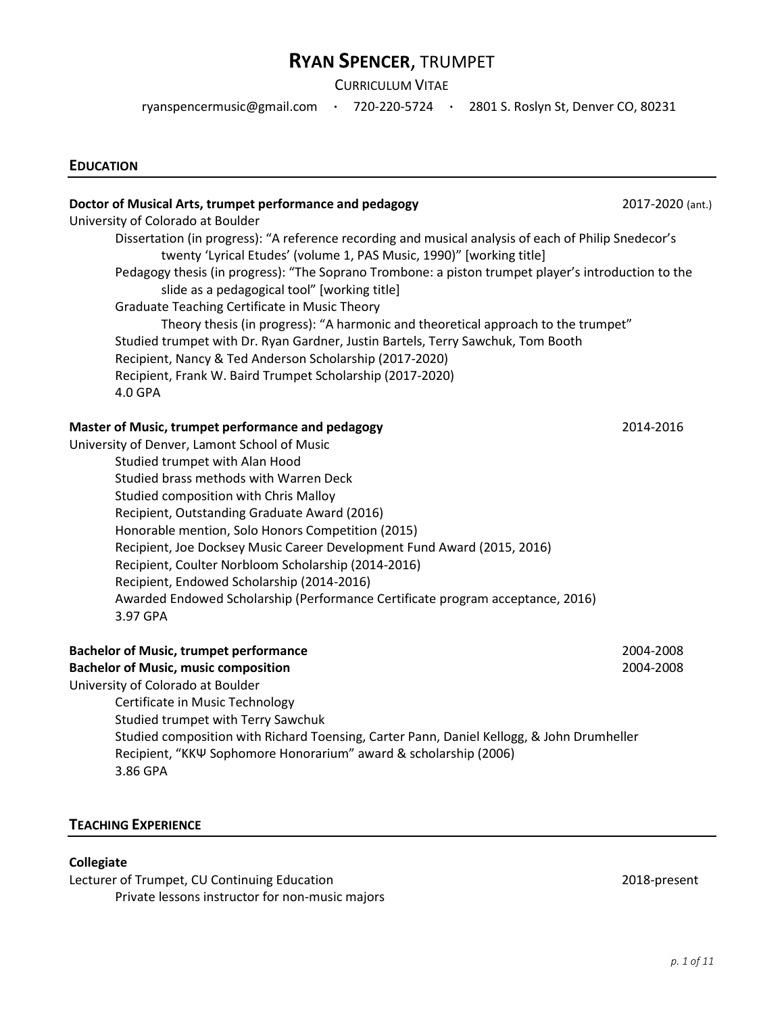# RYAN SPENCER, TRUMPET

CURRICULUM VITAE

ryanspencermusic@gmail.com · 720-220-5724 · 2801 S. Roslyn St, Denver CO, 80231

#### EDUCATION

| Doctor of Musical Arts, trumpet performance and pedagogy                                                                                                                     | 2017-2020 (ant.) |
|------------------------------------------------------------------------------------------------------------------------------------------------------------------------------|------------------|
| University of Colorado at Boulder                                                                                                                                            |                  |
| Dissertation (in progress): "A reference recording and musical analysis of each of Philip Snedecor's<br>twenty 'Lyrical Etudes' (volume 1, PAS Music, 1990)" [working title] |                  |
| Pedagogy thesis (in progress): "The Soprano Trombone: a piston trumpet player's introduction to the<br>slide as a pedagogical tool" [working title]                          |                  |
| Graduate Teaching Certificate in Music Theory                                                                                                                                |                  |
| Theory thesis (in progress): "A harmonic and theoretical approach to the trumpet"                                                                                            |                  |
| Studied trumpet with Dr. Ryan Gardner, Justin Bartels, Terry Sawchuk, Tom Booth                                                                                              |                  |
| Recipient, Nancy & Ted Anderson Scholarship (2017-2020)                                                                                                                      |                  |
| Recipient, Frank W. Baird Trumpet Scholarship (2017-2020)                                                                                                                    |                  |
| 4.0 GPA                                                                                                                                                                      |                  |
| Master of Music, trumpet performance and pedagogy                                                                                                                            | 2014-2016        |
| University of Denver, Lamont School of Music                                                                                                                                 |                  |
| Studied trumpet with Alan Hood                                                                                                                                               |                  |
| Studied brass methods with Warren Deck                                                                                                                                       |                  |
| Studied composition with Chris Malloy                                                                                                                                        |                  |
| Recipient, Outstanding Graduate Award (2016)                                                                                                                                 |                  |
| Honorable mention, Solo Honors Competition (2015)                                                                                                                            |                  |
| Recipient, Joe Docksey Music Career Development Fund Award (2015, 2016)                                                                                                      |                  |
| Recipient, Coulter Norbloom Scholarship (2014-2016)                                                                                                                          |                  |
| Recipient, Endowed Scholarship (2014-2016)                                                                                                                                   |                  |
| Awarded Endowed Scholarship (Performance Certificate program acceptance, 2016)<br>3.97 GPA                                                                                   |                  |
| <b>Bachelor of Music, trumpet performance</b>                                                                                                                                | 2004-2008        |
| <b>Bachelor of Music, music composition</b>                                                                                                                                  | 2004-2008        |
| University of Colorado at Boulder                                                                                                                                            |                  |
| Certificate in Music Technology                                                                                                                                              |                  |
| Studied trumpet with Terry Sawchuk                                                                                                                                           |                  |
| Studied composition with Richard Toensing, Carter Pann, Daniel Kellogg, & John Drumheller<br>Recipient, "KKW Sophomore Honorarium" award & scholarship (2006)<br>3.86 GPA    |                  |
|                                                                                                                                                                              |                  |

## TEACHING EXPERIENCE

#### Collegiate

Lecturer of Trumpet, CU Continuing Education 2018-present Private lessons instructor for non-music majors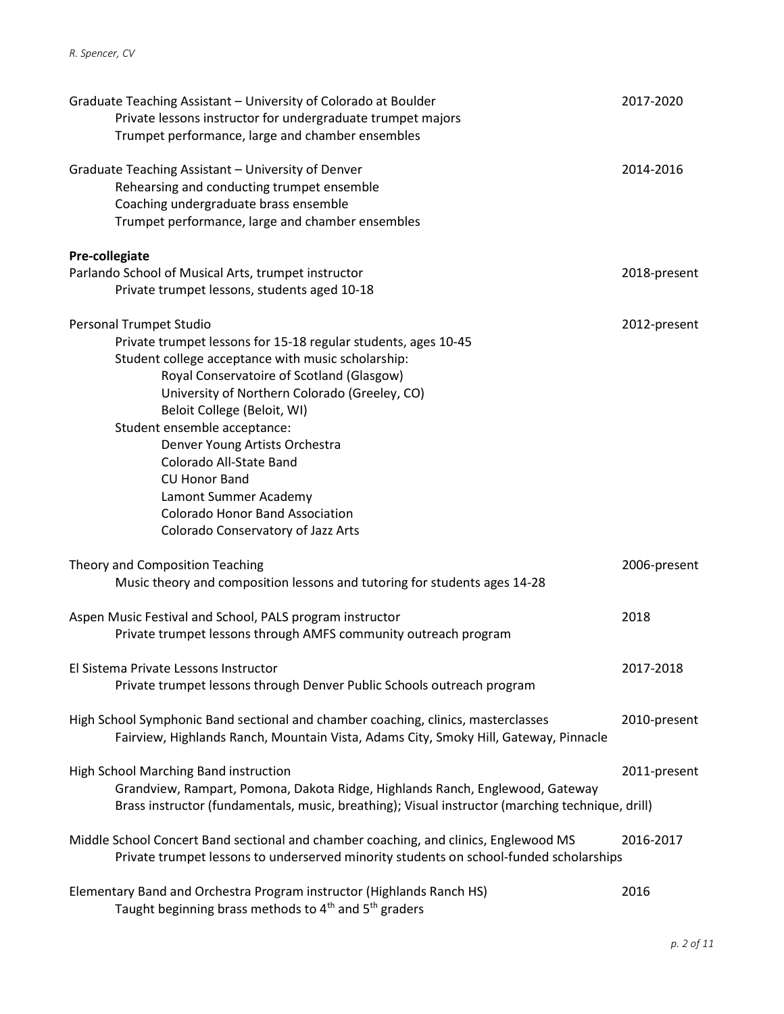| Graduate Teaching Assistant - University of Colorado at Boulder<br>Private lessons instructor for undergraduate trumpet majors<br>Trumpet performance, large and chamber ensembles                                                            | 2017-2020    |
|-----------------------------------------------------------------------------------------------------------------------------------------------------------------------------------------------------------------------------------------------|--------------|
| Graduate Teaching Assistant - University of Denver<br>Rehearsing and conducting trumpet ensemble<br>Coaching undergraduate brass ensemble<br>Trumpet performance, large and chamber ensembles                                                 | 2014-2016    |
| Pre-collegiate                                                                                                                                                                                                                                |              |
| Parlando School of Musical Arts, trumpet instructor                                                                                                                                                                                           | 2018-present |
| Private trumpet lessons, students aged 10-18                                                                                                                                                                                                  |              |
| Personal Trumpet Studio<br>Private trumpet lessons for 15-18 regular students, ages 10-45<br>Student college acceptance with music scholarship:<br>Royal Conservatoire of Scotland (Glasgow)<br>University of Northern Colorado (Greeley, CO) | 2012-present |
| Beloit College (Beloit, WI)                                                                                                                                                                                                                   |              |
| Student ensemble acceptance:                                                                                                                                                                                                                  |              |
| Denver Young Artists Orchestra                                                                                                                                                                                                                |              |
| Colorado All-State Band                                                                                                                                                                                                                       |              |
| <b>CU Honor Band</b>                                                                                                                                                                                                                          |              |
| Lamont Summer Academy<br><b>Colorado Honor Band Association</b>                                                                                                                                                                               |              |
| Colorado Conservatory of Jazz Arts                                                                                                                                                                                                            |              |
|                                                                                                                                                                                                                                               |              |
| Theory and Composition Teaching                                                                                                                                                                                                               | 2006-present |
| Music theory and composition lessons and tutoring for students ages 14-28                                                                                                                                                                     |              |
| Aspen Music Festival and School, PALS program instructor                                                                                                                                                                                      | 2018         |
| Private trumpet lessons through AMFS community outreach program                                                                                                                                                                               |              |
|                                                                                                                                                                                                                                               |              |
| El Sistema Private Lessons Instructor                                                                                                                                                                                                         | 2017-2018    |
| Private trumpet lessons through Denver Public Schools outreach program                                                                                                                                                                        |              |
|                                                                                                                                                                                                                                               |              |
| High School Symphonic Band sectional and chamber coaching, clinics, masterclasses<br>Fairview, Highlands Ranch, Mountain Vista, Adams City, Smoky Hill, Gateway, Pinnacle                                                                     | 2010-present |
|                                                                                                                                                                                                                                               |              |
| High School Marching Band instruction                                                                                                                                                                                                         | 2011-present |
| Grandview, Rampart, Pomona, Dakota Ridge, Highlands Ranch, Englewood, Gateway                                                                                                                                                                 |              |
| Brass instructor (fundamentals, music, breathing); Visual instructor (marching technique, drill)                                                                                                                                              |              |
|                                                                                                                                                                                                                                               |              |
| Middle School Concert Band sectional and chamber coaching, and clinics, Englewood MS<br>Private trumpet lessons to underserved minority students on school-funded scholarships                                                                | 2016-2017    |
|                                                                                                                                                                                                                                               |              |
| Elementary Band and Orchestra Program instructor (Highlands Ranch HS)<br>Taught beginning brass methods to 4 <sup>th</sup> and 5 <sup>th</sup> graders                                                                                        | 2016         |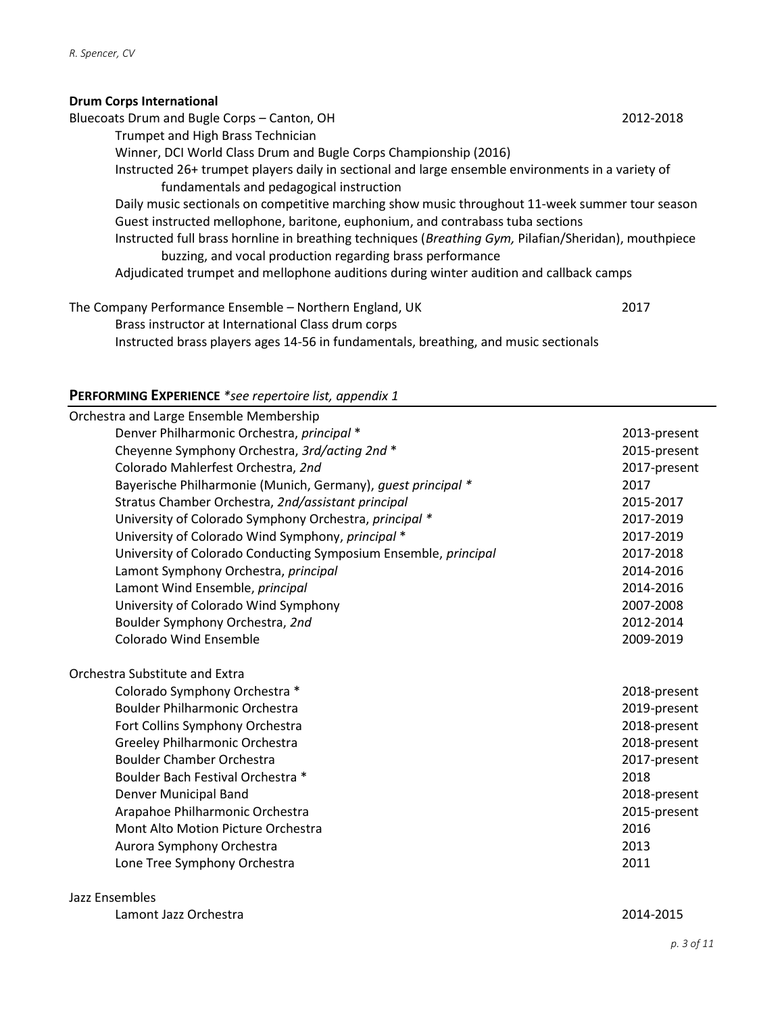## Drum Corps International

| Bluecoats Drum and Bugle Corps - Canton, OH                                                           | 2012-2018 |
|-------------------------------------------------------------------------------------------------------|-----------|
| Trumpet and High Brass Technician                                                                     |           |
| Winner, DCI World Class Drum and Bugle Corps Championship (2016)                                      |           |
| Instructed 26+ trumpet players daily in sectional and large ensemble environments in a variety of     |           |
| fundamentals and pedagogical instruction                                                              |           |
| Daily music sectionals on competitive marching show music throughout 11-week summer tour season       |           |
| Guest instructed mellophone, baritone, euphonium, and contrabass tuba sections                        |           |
| Instructed full brass hornline in breathing techniques (Breathing Gym, Pilafian/Sheridan), mouthpiece |           |
| buzzing, and vocal production regarding brass performance                                             |           |
| Adjudicated trumpet and mellophone auditions during winter audition and callback camps                |           |
|                                                                                                       |           |

The Company Performance Ensemble – Northern England, UK 2017 Brass instructor at International Class drum corps Instructed brass players ages 14-56 in fundamentals, breathing, and music sectionals

## PERFORMING EXPERIENCE \*see repertoire list, appendix 1

| Orchestra and Large Ensemble Membership                         |              |
|-----------------------------------------------------------------|--------------|
| Denver Philharmonic Orchestra, principal *                      | 2013-present |
| Cheyenne Symphony Orchestra, 3rd/acting 2nd *                   | 2015-present |
| Colorado Mahlerfest Orchestra, 2nd                              | 2017-present |
| Bayerische Philharmonie (Munich, Germany), quest principal *    | 2017         |
| Stratus Chamber Orchestra, 2nd/assistant principal              | 2015-2017    |
| University of Colorado Symphony Orchestra, principal *          | 2017-2019    |
| University of Colorado Wind Symphony, principal *               | 2017-2019    |
| University of Colorado Conducting Symposium Ensemble, principal | 2017-2018    |
| Lamont Symphony Orchestra, principal                            | 2014-2016    |
| Lamont Wind Ensemble, principal                                 | 2014-2016    |
| University of Colorado Wind Symphony                            | 2007-2008    |
| Boulder Symphony Orchestra, 2nd                                 | 2012-2014    |
| <b>Colorado Wind Ensemble</b>                                   | 2009-2019    |
| Orchestra Substitute and Extra                                  |              |
| Colorado Symphony Orchestra *                                   | 2018-present |
| Boulder Philharmonic Orchestra                                  | 2019-present |
| Fort Collins Symphony Orchestra                                 | 2018-present |
| Greeley Philharmonic Orchestra                                  | 2018-present |
| <b>Boulder Chamber Orchestra</b>                                | 2017-present |
| Boulder Bach Festival Orchestra *                               | 2018         |
| Denver Municipal Band                                           | 2018-present |
| Arapahoe Philharmonic Orchestra                                 | 2015-present |
| Mont Alto Motion Picture Orchestra                              | 2016         |
| Aurora Symphony Orchestra                                       | 2013         |
| Lone Tree Symphony Orchestra                                    | 2011         |
|                                                                 |              |

Jazz Ensembles

|  | Lamont Jazz Orchestra |
|--|-----------------------|
|  |                       |

2014-2015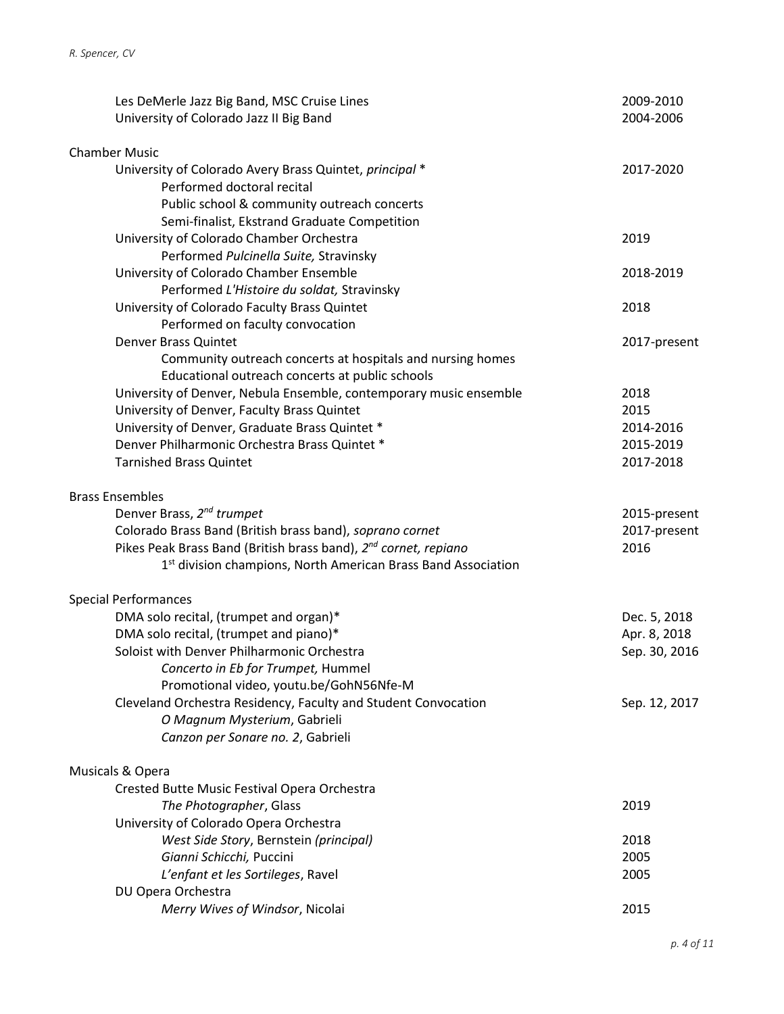| Les DeMerle Jazz Big Band, MSC Cruise Lines                                     | 2009-2010     |
|---------------------------------------------------------------------------------|---------------|
| University of Colorado Jazz II Big Band                                         | 2004-2006     |
|                                                                                 |               |
| <b>Chamber Music</b><br>University of Colorado Avery Brass Quintet, principal * | 2017-2020     |
| Performed doctoral recital                                                      |               |
| Public school & community outreach concerts                                     |               |
| Semi-finalist, Ekstrand Graduate Competition                                    |               |
| University of Colorado Chamber Orchestra                                        | 2019          |
| Performed Pulcinella Suite, Stravinsky                                          |               |
| University of Colorado Chamber Ensemble                                         | 2018-2019     |
| Performed L'Histoire du soldat, Stravinsky                                      |               |
| University of Colorado Faculty Brass Quintet                                    | 2018          |
| Performed on faculty convocation                                                |               |
| Denver Brass Quintet                                                            | 2017-present  |
| Community outreach concerts at hospitals and nursing homes                      |               |
| Educational outreach concerts at public schools                                 |               |
| University of Denver, Nebula Ensemble, contemporary music ensemble              | 2018          |
| University of Denver, Faculty Brass Quintet                                     | 2015          |
| University of Denver, Graduate Brass Quintet *                                  | 2014-2016     |
| Denver Philharmonic Orchestra Brass Quintet *                                   | 2015-2019     |
| <b>Tarnished Brass Quintet</b>                                                  | 2017-2018     |
| <b>Brass Ensembles</b>                                                          |               |
| Denver Brass, 2 <sup>nd</sup> trumpet                                           | 2015-present  |
| Colorado Brass Band (British brass band), soprano cornet                        | 2017-present  |
| Pikes Peak Brass Band (British brass band), 2 <sup>nd</sup> cornet, repiano     | 2016          |
| 1 <sup>st</sup> division champions, North American Brass Band Association       |               |
| <b>Special Performances</b>                                                     |               |
| DMA solo recital, (trumpet and organ)*                                          | Dec. 5, 2018  |
| DMA solo recital, (trumpet and piano)*                                          | Apr. 8, 2018  |
| Soloist with Denver Philharmonic Orchestra                                      | Sep. 30, 2016 |
| Concerto in Eb for Trumpet, Hummel                                              |               |
| Promotional video, youtu.be/GohN56Nfe-M                                         |               |
| Cleveland Orchestra Residency, Faculty and Student Convocation                  | Sep. 12, 2017 |
| O Magnum Mysterium, Gabrieli                                                    |               |
| Canzon per Sonare no. 2, Gabrieli                                               |               |
| Musicals & Opera                                                                |               |
| Crested Butte Music Festival Opera Orchestra                                    |               |
| The Photographer, Glass                                                         | 2019          |
| University of Colorado Opera Orchestra                                          |               |
| West Side Story, Bernstein (principal)                                          | 2018          |
| Gianni Schicchi, Puccini                                                        | 2005          |
| L'enfant et les Sortileges, Ravel                                               | 2005          |
| DU Opera Orchestra                                                              |               |
| Merry Wives of Windsor, Nicolai                                                 | 2015          |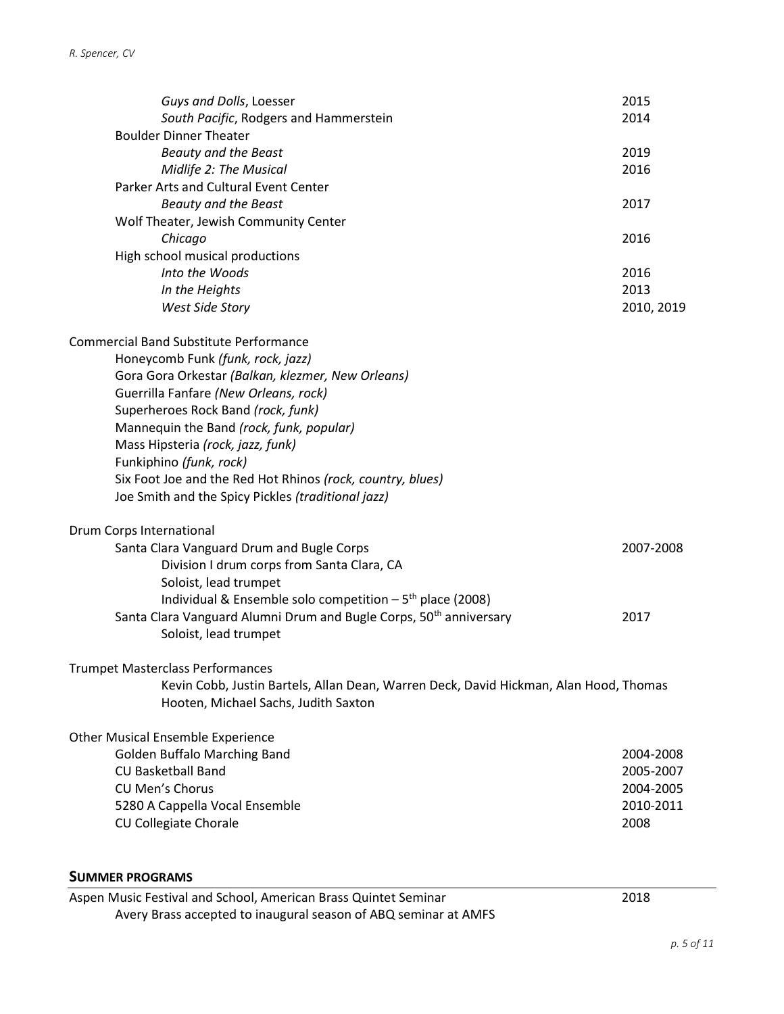| Guys and Dolls, Loesser<br>South Pacific, Rodgers and Hammerstein                                                             | 2015<br>2014      |
|-------------------------------------------------------------------------------------------------------------------------------|-------------------|
| <b>Boulder Dinner Theater</b><br>Beauty and the Beast<br>Midlife 2: The Musical                                               | 2019<br>2016      |
| Parker Arts and Cultural Event Center<br><b>Beauty and the Beast</b><br>Wolf Theater, Jewish Community Center                 | 2017              |
| Chicago<br>High school musical productions                                                                                    | 2016              |
| Into the Woods                                                                                                                | 2016              |
| In the Heights                                                                                                                | 2013              |
| West Side Story                                                                                                               | 2010, 2019        |
| <b>Commercial Band Substitute Performance</b>                                                                                 |                   |
| Honeycomb Funk (funk, rock, jazz)                                                                                             |                   |
| Gora Gora Orkestar (Balkan, klezmer, New Orleans)                                                                             |                   |
| Guerrilla Fanfare (New Orleans, rock)                                                                                         |                   |
| Superheroes Rock Band (rock, funk)                                                                                            |                   |
| Mannequin the Band (rock, funk, popular)                                                                                      |                   |
| Mass Hipsteria (rock, jazz, funk)                                                                                             |                   |
| Funkiphino (funk, rock)                                                                                                       |                   |
| Six Foot Joe and the Red Hot Rhinos (rock, country, blues)<br>Joe Smith and the Spicy Pickles (traditional jazz)              |                   |
| Drum Corps International                                                                                                      |                   |
| Santa Clara Vanguard Drum and Bugle Corps                                                                                     | 2007-2008         |
| Division I drum corps from Santa Clara, CA                                                                                    |                   |
| Soloist, lead trumpet                                                                                                         |                   |
| Individual & Ensemble solo competition $-5th$ place (2008)                                                                    |                   |
| Santa Clara Vanguard Alumni Drum and Bugle Corps, 50 <sup>th</sup> anniversary<br>Soloist, lead trumpet                       | 2017              |
| Trumpet Masterclass Performances                                                                                              |                   |
| Kevin Cobb, Justin Bartels, Allan Dean, Warren Deck, David Hickman, Alan Hood, Thomas<br>Hooten, Michael Sachs, Judith Saxton |                   |
| <b>Other Musical Ensemble Experience</b>                                                                                      |                   |
| <b>Golden Buffalo Marching Band</b>                                                                                           | 2004-2008         |
| CU Basketball Band                                                                                                            | 2005-2007         |
| <b>CU Men's Chorus</b>                                                                                                        | 2004-2005         |
| 5280 A Cappella Vocal Ensemble<br>CU Collegiate Chorale                                                                       | 2010-2011<br>2008 |
|                                                                                                                               |                   |

## SUMMER PROGRAMS

Aspen Music Festival and School, American Brass Quintet Seminar 2018 Avery Brass accepted to inaugural season of ABQ seminar at AMFS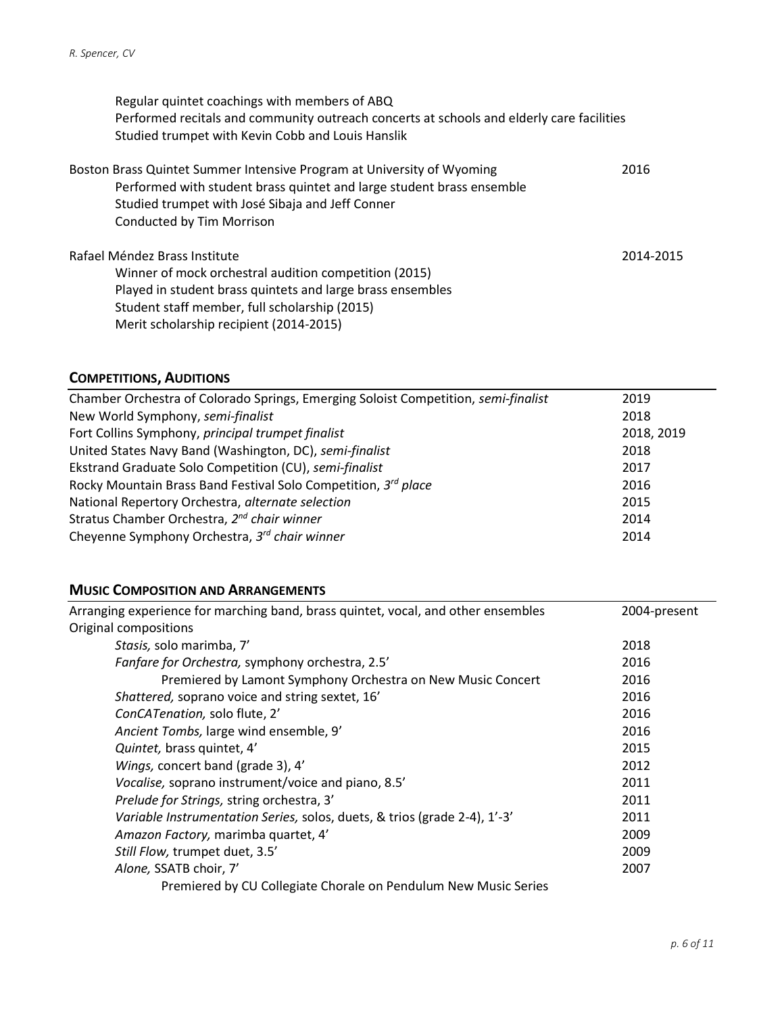Regular quintet coachings with members of ABQ Performed recitals and community outreach concerts at schools and elderly care facilities Studied trumpet with Kevin Cobb and Louis Hanslik

| Boston Brass Quintet Summer Intensive Program at University of Wyoming<br>Performed with student brass quintet and large student brass ensemble<br>Studied trumpet with José Sibaja and Jeff Conner<br>Conducted by Tim Morrison | 2016      |
|----------------------------------------------------------------------------------------------------------------------------------------------------------------------------------------------------------------------------------|-----------|
| Rafael Méndez Brass Institute                                                                                                                                                                                                    | 2014-2015 |
| Winner of mock orchestral audition competition (2015)                                                                                                                                                                            |           |
| Played in student brass quintets and large brass ensembles                                                                                                                                                                       |           |
| Student staff member, full scholarship (2015)                                                                                                                                                                                    |           |
| Merit scholarship recipient (2014-2015)                                                                                                                                                                                          |           |

## COMPETITIONS, AUDITIONS

| Chamber Orchestra of Colorado Springs, Emerging Soloist Competition, semi-finalist | 2019       |
|------------------------------------------------------------------------------------|------------|
| New World Symphony, semi-finalist                                                  | 2018       |
| Fort Collins Symphony, principal trumpet finalist                                  | 2018, 2019 |
| United States Navy Band (Washington, DC), semi-finalist                            | 2018       |
| Ekstrand Graduate Solo Competition (CU), semi-finalist                             | 2017       |
| Rocky Mountain Brass Band Festival Solo Competition, 3rd place                     | 2016       |
| National Repertory Orchestra, alternate selection                                  | 2015       |
| Stratus Chamber Orchestra, 2 <sup>nd</sup> chair winner                            | 2014       |
| Cheyenne Symphony Orchestra, 3 <sup>rd</sup> chair winner                          | 2014       |

### MUSIC COMPOSITION AND ARRANGEMENTS

| Arranging experience for marching band, brass quintet, vocal, and other ensembles | 2004-present |
|-----------------------------------------------------------------------------------|--------------|
| Original compositions                                                             |              |
| Stasis, solo marimba, 7'                                                          | 2018         |
| Fanfare for Orchestra, symphony orchestra, 2.5'                                   | 2016         |
| Premiered by Lamont Symphony Orchestra on New Music Concert                       | 2016         |
| Shattered, soprano voice and string sextet, 16'                                   | 2016         |
| ConCATenation, solo flute, 2'                                                     | 2016         |
| Ancient Tombs, large wind ensemble, 9'                                            | 2016         |
| Quintet, brass quintet, 4'                                                        | 2015         |
| Wings, concert band (grade 3), 4'                                                 | 2012         |
| Vocalise, soprano instrument/voice and piano, 8.5'                                | 2011         |
| Prelude for Strings, string orchestra, 3'                                         | 2011         |
| Variable Instrumentation Series, solos, duets, & trios (grade 2-4), 1'-3'         | 2011         |
| Amazon Factory, marimba quartet, 4'                                               | 2009         |
| Still Flow, trumpet duet, 3.5'                                                    | 2009         |
| Alone, SSATB choir, 7'                                                            | 2007         |
| Premiered by CU Collegiate Chorale on Pendulum New Music Series                   |              |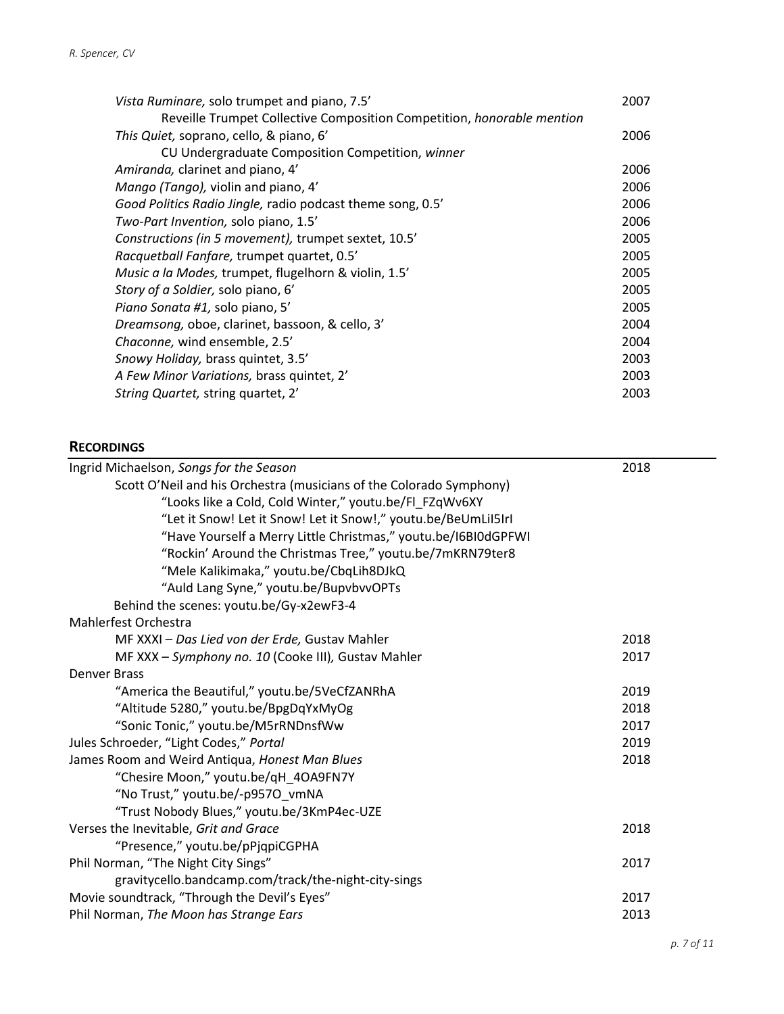| Vista Ruminare, solo trumpet and piano, 7.5'                                  | 2007 |
|-------------------------------------------------------------------------------|------|
| Reveille Trumpet Collective Composition Competition, <i>honorable mention</i> |      |
| This Quiet, soprano, cello, & piano, 6'                                       | 2006 |
| CU Undergraduate Composition Competition, winner                              |      |
| Amiranda, clarinet and piano, 4'                                              | 2006 |
| Mango (Tango), violin and piano, 4'                                           | 2006 |
| Good Politics Radio Jingle, radio podcast theme song, 0.5'                    | 2006 |
| Two-Part Invention, solo piano, 1.5'                                          | 2006 |
| Constructions (in 5 movement), trumpet sextet, 10.5'                          | 2005 |
| Racquetball Fanfare, trumpet quartet, 0.5'                                    | 2005 |
| Music a la Modes, trumpet, flugelhorn & violin, 1.5'                          | 2005 |
| Story of a Soldier, solo piano, 6'                                            | 2005 |
| Piano Sonata #1, solo piano, 5'                                               | 2005 |
| Dreamsong, oboe, clarinet, bassoon, & cello, 3'                               | 2004 |
| Chaconne, wind ensemble, 2.5'                                                 | 2004 |
| Snowy Holiday, brass quintet, 3.5'                                            | 2003 |
| A Few Minor Variations, brass quintet, 2'                                     | 2003 |
| String Quartet, string quartet, 2'                                            | 2003 |

### **RECORDINGS**

| Ingrid Michaelson, Songs for the Season                             | 2018 |
|---------------------------------------------------------------------|------|
| Scott O'Neil and his Orchestra (musicians of the Colorado Symphony) |      |
| "Looks like a Cold, Cold Winter," youtu.be/Fl_FZqWv6XY              |      |
| "Let it Snow! Let it Snow! Let it Snow!," youtu.be/BeUmLiI5IrI      |      |
| "Have Yourself a Merry Little Christmas," youtu.be/I6BI0dGPFWI      |      |
| "Rockin' Around the Christmas Tree," youtu.be/7mKRN79ter8           |      |
| "Mele Kalikimaka," youtu.be/CbqLih8DJkQ                             |      |
| "Auld Lang Syne," youtu.be/BupvbvvOPTs                              |      |
| Behind the scenes: youtu.be/Gy-x2ewF3-4                             |      |
| Mahlerfest Orchestra                                                |      |
| MF XXXI - Das Lied von der Erde, Gustav Mahler                      | 2018 |
| MF XXX - Symphony no. 10 (Cooke III), Gustav Mahler                 | 2017 |
| <b>Denver Brass</b>                                                 |      |
| "America the Beautiful," youtu.be/5VeCfZANRhA                       | 2019 |
| "Altitude 5280," youtu.be/BpgDqYxMyOg                               | 2018 |
| "Sonic Tonic," youtu.be/M5rRNDnsfWw                                 | 2017 |
| Jules Schroeder, "Light Codes," Portal                              | 2019 |
| James Room and Weird Antiqua, Honest Man Blues                      | 2018 |
| "Chesire Moon," youtu.be/qH_4OA9FN7Y                                |      |
| "No Trust," youtu.be/-p9570_vmNA                                    |      |
| "Trust Nobody Blues," youtu.be/3KmP4ec-UZE                          |      |
| Verses the Inevitable, Grit and Grace                               | 2018 |
| "Presence," youtu.be/pPjqpiCGPHA                                    |      |
| Phil Norman, "The Night City Sings"                                 | 2017 |
| gravitycello.bandcamp.com/track/the-night-city-sings                |      |
| Movie soundtrack, "Through the Devil's Eyes"                        | 2017 |
| Phil Norman, The Moon has Strange Ears                              | 2013 |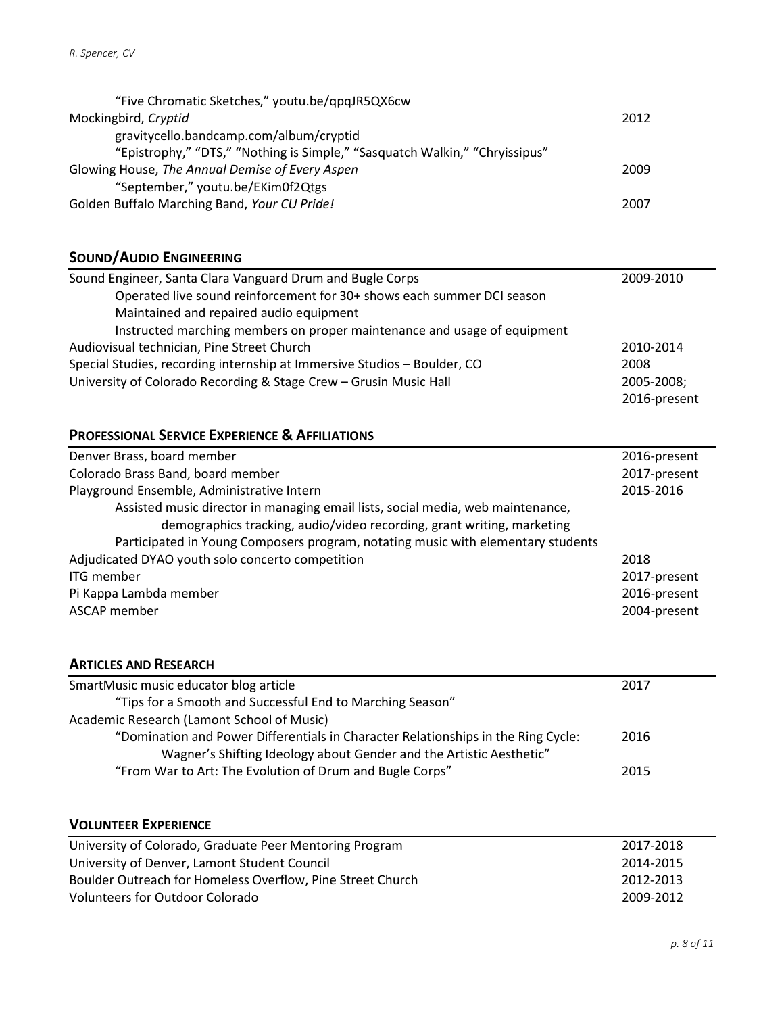| "Five Chromatic Sketches," youtu.be/qpqJR5QX6cw                             |      |
|-----------------------------------------------------------------------------|------|
| Mockingbird, Cryptid                                                        | 2012 |
| gravitycello.bandcamp.com/album/cryptid                                     |      |
| "Epistrophy," "DTS," "Nothing is Simple," "Sasquatch Walkin," "Chryissipus" |      |
| Glowing House, The Annual Demise of Every Aspen                             | 2009 |
| "September," youtu.be/EKim0f2Qtgs                                           |      |
| Golden Buffalo Marching Band, Your CU Pride!                                | 2007 |

## SOUND/AUDIO ENGINEERING

| Sound Engineer, Santa Clara Vanguard Drum and Bugle Corps                | 2009-2010    |
|--------------------------------------------------------------------------|--------------|
| Operated live sound reinforcement for 30+ shows each summer DCI season   |              |
| Maintained and repaired audio equipment                                  |              |
| Instructed marching members on proper maintenance and usage of equipment |              |
| Audiovisual technician, Pine Street Church                               | 2010-2014    |
| Special Studies, recording internship at Immersive Studios - Boulder, CO | 2008         |
| University of Colorado Recording & Stage Crew - Grusin Music Hall        | 2005-2008;   |
|                                                                          | 2016-present |

## PROFESSIONAL SERVICE EXPERIENCE & AFFILIATIONS

| Denver Brass, board member                                                       | 2016-present |
|----------------------------------------------------------------------------------|--------------|
| Colorado Brass Band, board member                                                | 2017-present |
| Playground Ensemble, Administrative Intern                                       | 2015-2016    |
| Assisted music director in managing email lists, social media, web maintenance,  |              |
| demographics tracking, audio/video recording, grant writing, marketing           |              |
| Participated in Young Composers program, notating music with elementary students |              |
| Adjudicated DYAO youth solo concerto competition                                 | 2018         |
| <b>ITG</b> member                                                                | 2017-present |
| Pi Kappa Lambda member                                                           | 2016-present |
| ASCAP member                                                                     | 2004-present |

## ARTICLES AND RESEARCH

| SmartMusic music educator blog article                                            | 2017 |
|-----------------------------------------------------------------------------------|------|
| "Tips for a Smooth and Successful End to Marching Season"                         |      |
| Academic Research (Lamont School of Music)                                        |      |
| "Domination and Power Differentials in Character Relationships in the Ring Cycle: | 2016 |
| Wagner's Shifting Ideology about Gender and the Artistic Aesthetic"               |      |
| "From War to Art: The Evolution of Drum and Bugle Corps"                          | 2015 |

## VOLUNTEER EXPERIENCE

| University of Colorado, Graduate Peer Mentoring Program    | 2017-2018 |
|------------------------------------------------------------|-----------|
| University of Denver, Lamont Student Council               | 2014-2015 |
| Boulder Outreach for Homeless Overflow, Pine Street Church | 2012-2013 |
| <b>Volunteers for Outdoor Colorado</b>                     | 2009-2012 |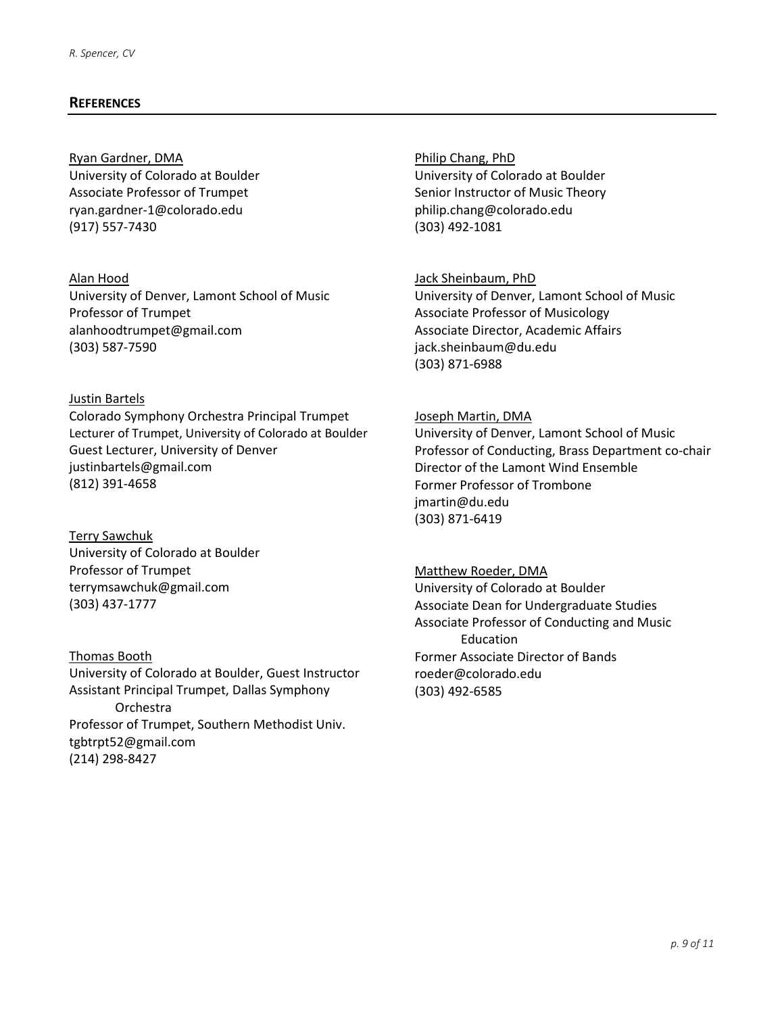#### **REFERENCES**

### Ryan Gardner, DMA University of Colorado at Boulder Associate Professor of Trumpet ryan.gardner-1@colorado.edu (917) 557-7430

#### Alan Hood

University of Denver, Lamont School of Music Professor of Trumpet alanhoodtrumpet@gmail.com (303) 587-7590

#### Justin Bartels

Colorado Symphony Orchestra Principal Trumpet Lecturer of Trumpet, University of Colorado at Boulder Guest Lecturer, University of Denver justinbartels@gmail.com (812) 391-4658

Terry Sawchuk University of Colorado at Boulder Professor of Trumpet terrymsawchuk@gmail.com (303) 437-1777

Thomas Booth University of Colorado at Boulder, Guest Instructor Assistant Principal Trumpet, Dallas Symphony Orchestra Professor of Trumpet, Southern Methodist Univ. tgbtrpt52@gmail.com (214) 298-8427

Philip Chang, PhD University of Colorado at Boulder Senior Instructor of Music Theory philip.chang@colorado.edu (303) 492-1081

#### Jack Sheinbaum, PhD

University of Denver, Lamont School of Music Associate Professor of Musicology Associate Director, Academic Affairs jack.sheinbaum@du.edu (303) 871-6988

#### Joseph Martin, DMA

University of Denver, Lamont School of Music Professor of Conducting, Brass Department co-chair Director of the Lamont Wind Ensemble Former Professor of Trombone jmartin@du.edu (303) 871-6419

#### Matthew Roeder, DMA

University of Colorado at Boulder Associate Dean for Undergraduate Studies Associate Professor of Conducting and Music Education Former Associate Director of Bands roeder@colorado.edu (303) 492-6585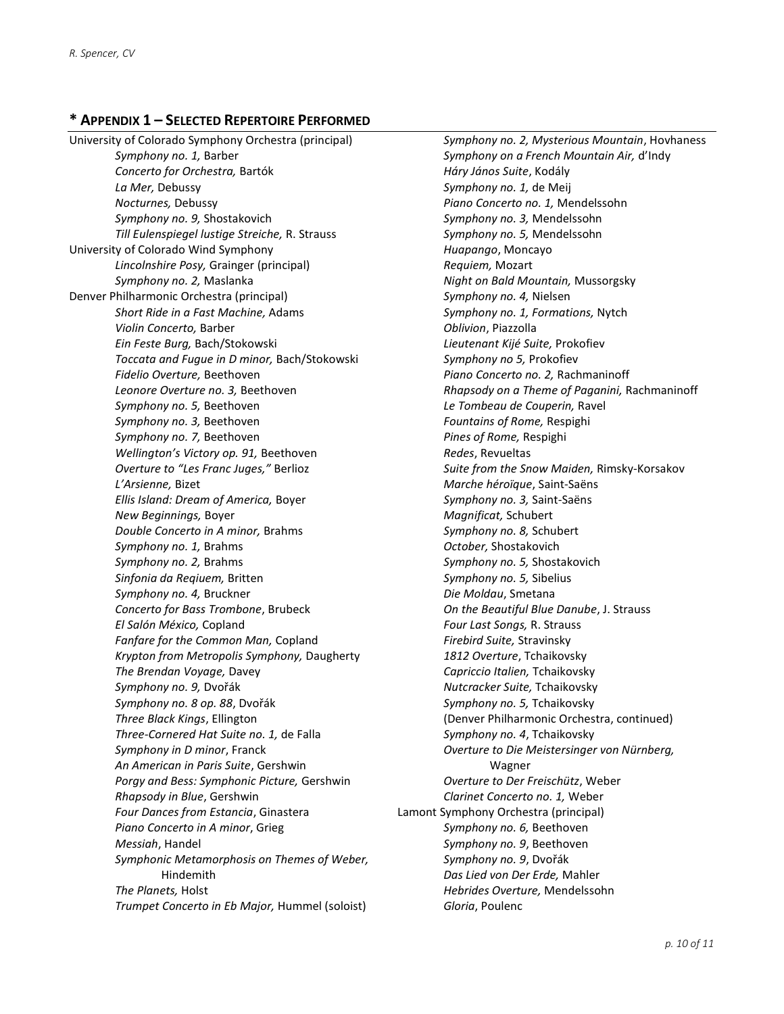## \* APPENDIX 1 – SELECTED REPERTOIRE PERFORMED

University of Colorado Symphony Orchestra (principal) Symphony no. 1, Barber Concerto for Orchestra, Bartók La Mer, Debussy Nocturnes, Debussy Symphony no. 9, Shostakovich Till Eulenspiegel lustige Streiche, R. Strauss University of Colorado Wind Symphony Lincolnshire Posy, Grainger (principal) Symphony no. 2, Maslanka Denver Philharmonic Orchestra (principal) Short Ride in a Fast Machine, Adams Violin Concerto, Barber Ein Feste Burg, Bach/Stokowski Toccata and Fugue in D minor, Bach/Stokowski Fidelio Overture, Beethoven Leonore Overture no. 3, Beethoven Symphony no. 5, Beethoven Symphony no. 3, Beethoven Symphony no. 7, Beethoven Wellington's Victory op. 91, Beethoven Overture to "Les Franc Juges," Berlioz L'Arsienne, Bizet Ellis Island: Dream of America, Boyer New Beginnings, Boyer Double Concerto in A minor, Brahms Symphony no. 1, Brahms Symphony no. 2, Brahms Sinfonia da Reqiuem, Britten Symphony no. 4, Bruckner Concerto for Bass Trombone, Brubeck El Salón México, Copland Fanfare for the Common Man, Copland Krypton from Metropolis Symphony, Daugherty The Brendan Voyage, Davey Symphony no. 9, Dvořák Symphony no. 8 op. 88, Dvořák Three Black Kings, Ellington Three-Cornered Hat Suite no. 1, de Falla Symphony in D minor, Franck An American in Paris Suite, Gershwin Porgy and Bess: Symphonic Picture, Gershwin Rhapsody in Blue, Gershwin Four Dances from Estancia, Ginastera Piano Concerto in A minor, Grieg Messiah, Handel Symphonic Metamorphosis on Themes of Weber, Hindemith The Planets, Holst Trumpet Concerto in Eb Major, Hummel (soloist)

Symphony no. 2, Mysterious Mountain, Hovhaness Symphony on a French Mountain Air, d'Indy Háry János Suite, Kodály Symphony no. 1, de Meij Piano Concerto no. 1, Mendelssohn Symphony no. 3, Mendelssohn Symphony no. 5, Mendelssohn Huapango, Moncayo Requiem, Mozart Night on Bald Mountain, Mussorgsky Symphony no. 4, Nielsen Symphony no. 1, Formations, Nytch Oblivion, Piazzolla Lieutenant Kijé Suite, Prokofiev Symphony no 5, Prokofiev Piano Concerto no. 2, Rachmaninoff Rhapsody on a Theme of Paganini, Rachmaninoff Le Tombeau de Couperin, Ravel Fountains of Rome, Respighi Pines of Rome, Respighi Redes, Revueltas Suite from the Snow Maiden, Rimsky-Korsakov Marche héroïque, Saint-Saëns Symphony no. 3, Saint-Saëns Magnificat, Schubert Symphony no. 8, Schubert October, Shostakovich Symphony no. 5, Shostakovich Symphony no. 5, Sibelius Die Moldau, Smetana On the Beautiful Blue Danube, J. Strauss Four Last Songs, R. Strauss Firebird Suite, Stravinsky 1812 Overture, Tchaikovsky Capriccio Italien, Tchaikovsky Nutcracker Suite, Tchaikovsky Symphony no. 5, Tchaikovsky (Denver Philharmonic Orchestra, continued) Symphony no. 4, Tchaikovsky Overture to Die Meistersinger von Nürnberg, Wagner Overture to Der Freischütz, Weber Clarinet Concerto no. 1, Weber Lamont Symphony Orchestra (principal) Symphony no. 6, Beethoven Symphony no. 9, Beethoven Symphony no. 9, Dvořák Das Lied von Der Erde, Mahler Hebrides Overture, Mendelssohn Gloria, Poulenc